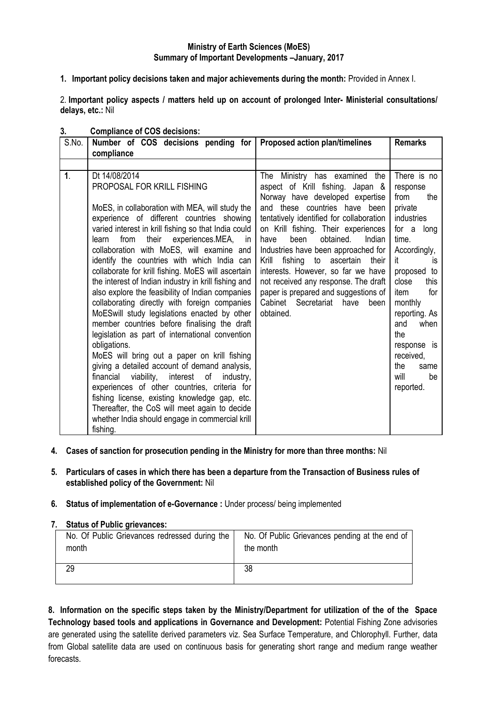## **Ministry of Earth Sciences (MoES) Summary of Important Developments –January, 2017**

**1. Important policy decisions taken and major achievements during the month:** Provided in Annex I.

2. **Important policy aspects / matters held up on account of prolonged Inter- Ministerial consultations/ delays, etc.:** Nil

| S.No.          | Number of COS decisions pending for<br>compliance                                                                                                                                                                                                                                                                                                                                                                                                                                                                                                                                                                                                                                                                                                                                                                                                                                                                                                                                                                                                                                                   | Proposed action plan/timelines                                                                                                                                                                                                                                                                                                                                                                                                                                                                                                | <b>Remarks</b>                                                                                                                                                                                                                                                                                   |
|----------------|-----------------------------------------------------------------------------------------------------------------------------------------------------------------------------------------------------------------------------------------------------------------------------------------------------------------------------------------------------------------------------------------------------------------------------------------------------------------------------------------------------------------------------------------------------------------------------------------------------------------------------------------------------------------------------------------------------------------------------------------------------------------------------------------------------------------------------------------------------------------------------------------------------------------------------------------------------------------------------------------------------------------------------------------------------------------------------------------------------|-------------------------------------------------------------------------------------------------------------------------------------------------------------------------------------------------------------------------------------------------------------------------------------------------------------------------------------------------------------------------------------------------------------------------------------------------------------------------------------------------------------------------------|--------------------------------------------------------------------------------------------------------------------------------------------------------------------------------------------------------------------------------------------------------------------------------------------------|
|                |                                                                                                                                                                                                                                                                                                                                                                                                                                                                                                                                                                                                                                                                                                                                                                                                                                                                                                                                                                                                                                                                                                     |                                                                                                                                                                                                                                                                                                                                                                                                                                                                                                                               |                                                                                                                                                                                                                                                                                                  |
| $\mathbf{1}$ . | Dt 14/08/2014<br>PROPOSAL FOR KRILL FISHING<br>MoES, in collaboration with MEA, will study the<br>experience of different countries showing<br>varied interest in krill fishing so that India could<br>from their experiences.MEA, in<br>learn<br>collaboration with MoES, will examine and<br>identify the countries with which India can<br>collaborate for krill fishing. MoES will ascertain<br>the interest of Indian industry in krill fishing and<br>also explore the feasibility of Indian companies<br>collaborating directly with foreign companies<br>MoESwill study legislations enacted by other<br>member countries before finalising the draft<br>legislation as part of international convention<br>obligations.<br>MoES will bring out a paper on krill fishing<br>giving a detailed account of demand analysis,<br>financial viability, interest of<br>industry,<br>experiences of other countries, criteria for<br>fishing license, existing knowledge gap, etc.<br>Thereafter, the CoS will meet again to decide<br>whether India should engage in commercial krill<br>fishing. | The<br>Ministry has examined the<br>aspect of Krill fishing. Japan &<br>Norway have developed expertise<br>and these countries have been<br>tentatively identified for collaboration<br>on Krill fishing. Their experiences<br>obtained.<br>been<br>Indian<br>have<br>Industries have been approached for<br>Krill<br>fishing to ascertain<br>their<br>interests. However, so far we have<br>not received any response. The draft<br>paper is prepared and suggestions of<br>Cabinet Secretariat<br>have<br>been<br>obtained. | There is no<br>response<br>from<br>the<br>private<br><b>industries</b><br>for a long<br>time.<br>Accordingly,<br>it<br>IS<br>proposed to<br>close<br>this<br>for<br>item<br>monthly<br>reporting. As<br>and<br>when<br>the<br>response is<br>received,<br>the<br>same<br>will<br>be<br>reported. |

#### **3. Compliance of COS decisions:**

- **4. Cases of sanction for prosecution pending in the Ministry for more than three months:** Nil
- **5. Particulars of cases in which there has been a departure from the Transaction of Business rules of established policy of the Government:** Nil

### **6. Status of implementation of e-Governance :** Under process/ being implemented

### **7. Status of Public grievances:**

| No. Of Public Grievances redressed during the | No. Of Public Grievances pending at the end of |
|-----------------------------------------------|------------------------------------------------|
| month                                         | the month                                      |
| 29                                            | 38                                             |

**8. Information on the specific steps taken by the Ministry/Department for utilization of the of the Space Technology based tools and applications in Governance and Development:** Potential Fishing Zone advisories are generated using the satellite derived parameters viz. Sea Surface Temperature, and Chlorophyll. Further, data from Global satellite data are used on continuous basis for generating short range and medium range weather forecasts.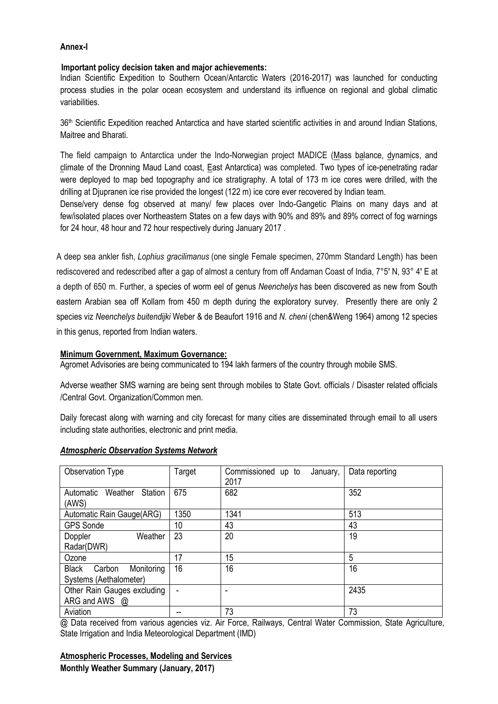## **Annex-I**

## **Important policy decision taken and major achievements:**

Indian Scientific Expedition to Southern Ocean/Antarctic Waters (2016-2017) was launched for conducting process studies in the polar ocean ecosystem and understand its influence on regional and global climatic variabilities.

36th Scientific Expedition reached Antarctica and have started scientific activities in and around Indian Stations, Maitree and Bharati.

The field campaign to Antarctica under the Indo-Norwegian project MADICE (Mass balance, dynamics, and climate of the Dronning Maud Land coast, East Antarctica) was completed. Two types of ice-penetrating radar were deployed to map bed topography and ice stratigraphy. A total of 173 m ice cores were drilled, with the drilling at Djupranen ice rise provided the longest (122 m) ice core ever recovered by Indian team.

Dense/very dense fog observed at many/ few places over Indo-Gangetic Plains on many days and at few/isolated places over Northeastern States on a few days with 90% and 89% and 89% correct of fog warnings for 24 hour, 48 hour and 72 hour respectively during January 2017 .

A deep sea ankler fish, *Lophius gracilimanus* (one single Female specimen, 270mm Standard Length) has been rediscovered and redescribed after a gap of almost a century from off Andaman Coast of India, 7°5' N, 93° 4' E at a depth of 650 m. Further, a species of worm eel of genus *Neenchelys* has been discovered as new from South eastern Arabian sea off Kollam from 450 m depth during the exploratory survey. Presently there are only 2 species viz *Neenchelys buitendijki* Weber & de Beaufort 1916 and *N. cheni* (chen&Weng 1964) among 12 species in this genus, reported from Indian waters.

### **Minimum Government, Maximum Governance:**

Agromet Advisories are being communicated to 194 lakh farmers of the country through mobile SMS.

Adverse weather SMS warning are being sent through mobiles to State Govt. officials / Disaster related officials /Central Govt. Organization/Common men.

Daily forecast along with warning and city forecast for many cities are disseminated through email to all users including state authorities, electronic and print media.

| Observation Type                     | Target | Commissioned up to<br>January, | Data reporting |
|--------------------------------------|--------|--------------------------------|----------------|
|                                      |        | 2017                           |                |
| Weather<br>Station<br>Automatic      | 675    | 682                            | 352            |
| (AWS)                                |        |                                |                |
| Automatic Rain Gauge(ARG)            | 1350   | 1341                           | 513            |
| <b>GPS Sonde</b>                     | 10     | 43                             | 43             |
| Weather<br>Doppler                   | 23     | 20                             | 19             |
| Radar(DWR)                           |        |                                |                |
| Ozone                                | 17     | 15                             | 5              |
| <b>Black</b><br>Monitoring<br>Carbon | 16     | 16                             | 16             |
| Systems (Aethalometer)               |        |                                |                |
| Other Rain Gauges excluding          | ۰      |                                | 2435           |
| ARG and AWS $\omega$                 |        |                                |                |
| Aviation                             |        | 73                             | 73             |

### *Atmospheric Observation Systems Network*

@ Data received from various agencies viz. Air Force, Railways, Central Water Commission, State Agriculture, State Irrigation and India Meteorological Department (IMD)

### **Atmospheric Processes, Modeling and Services**

**Monthly Weather Summary (January, 2017)**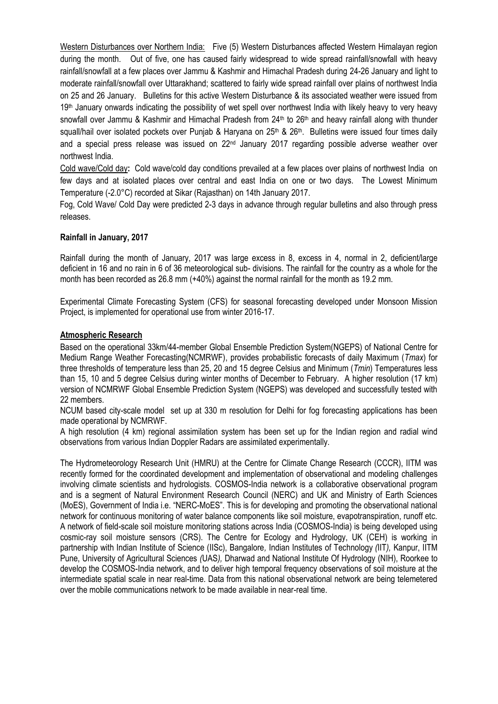Western Disturbances over Northern India:Five (5) Western Disturbances affected Western Himalayan region during the month. Out of five, one has caused fairly widespread to wide spread rainfall/snowfall with heavy rainfall/snowfall at a few places over Jammu & Kashmir and Himachal Pradesh during 24-26 January and light to moderate rainfall/snowfall over Uttarakhand; scattered to fairly wide spread rainfall over plains of northwest India on 25 and 26 January. Bulletins for this active Western Disturbance & its associated weather were issued from 19<sup>th</sup> January onwards indicating the possibility of wet spell over northwest India with likely heavy to very heavy snowfall over Jammu & Kashmir and Himachal Pradesh from 24<sup>th</sup> to 26<sup>th</sup> and heavy rainfall along with thunder squall/hail over isolated pockets over Punjab & Haryana on 25<sup>th</sup> & 26<sup>th</sup>. Bulletins were issued four times daily and a special press release was issued on 22<sup>nd</sup> January 2017 regarding possible adverse weather over northwest India.

Cold wave/Cold day**:** Cold wave/cold day conditions prevailed at a few places over plains of northwest India on few days and at isolated places over central and east India on one or two days. The Lowest Minimum Temperature (-2.0°C) recorded at Sikar (Rajasthan) on 14th January 2017.

 Fog, Cold Wave/ Cold Day were predicted 2-3 days in advance through regular bulletins and also through press releases.

## **Rainfall in January, 2017**

Rainfall during the month of January, 2017 was large excess in 8, excess in 4, normal in 2, deficient/large deficient in 16 and no rain in 6 of 36 meteorological sub- divisions. The rainfall for the country as a whole for the month has been recorded as 26.8 mm (+40%) against the normal rainfall for the month as 19.2 mm.

Experimental Climate Forecasting System (CFS) for seasonal forecasting developed under Monsoon Mission Project, is implemented for operational use from winter 2016-17.

### **Atmospheric Research**

Based on the operational 33km/44-member Global Ensemble Prediction System(NGEPS) of National Centre for Medium Range Weather Forecasting(NCMRWF), provides probabilistic forecasts of daily Maximum (*Tmax*) for three thresholds of temperature less than 25, 20 and 15 degree Celsius and Minimum (*Tmin*) Temperatures less than 15, 10 and 5 degree Celsius during winter months of December to February. A higher resolution (17 km) version of NCMRWF Global Ensemble Prediction System (NGEPS) was developed and successfully tested with 22 members.

NCUM based city-scale model set up at 330 m resolution for Delhi for fog forecasting applications has been made operational by NCMRWF.

A high resolution (4 km) regional assimilation system has been set up for the Indian region and radial wind observations from various Indian Doppler Radars are assimilated experimentally.

The Hydrometeorology Research Unit (HMRU) at the Centre for Climate Change Research (CCCR), IITM was recently formed for the coordinated development and implementation of observational and modeling challenges involving climate scientists and hydrologists. COSMOS-India network is a collaborative observational program and is a segment of Natural Environment Research Council (NERC) and UK and Ministry of Earth Sciences (MoES), Government of India i.e. "NERC-MoES". This is for developing and promoting the observational national network for continuous monitoring of water balance components like soil moisture, evapotranspiration, runoff etc. A network of field-scale soil moisture monitoring stations across India (COSMOS-India) is being developed using cosmic-ray soil moisture sensors (CRS). The Centre for Ecology and Hydrology, UK (CEH) is working in partnership with Indian Institute of Science (IISc), Bangalore*,* Indian Institutes of Technology *(*IIT*),* Kanpur, IITM Pune, University of Agricultural Sciences *(*UAS*),* Dharwad and National Institute Of Hydrology (NIH), Roorkee to develop the COSMOS-India network, and to deliver high temporal frequency observations of soil moisture at the intermediate spatial scale in near real-time. Data from this national observational network are being telemetered over the mobile communications network to be made available in near-real time.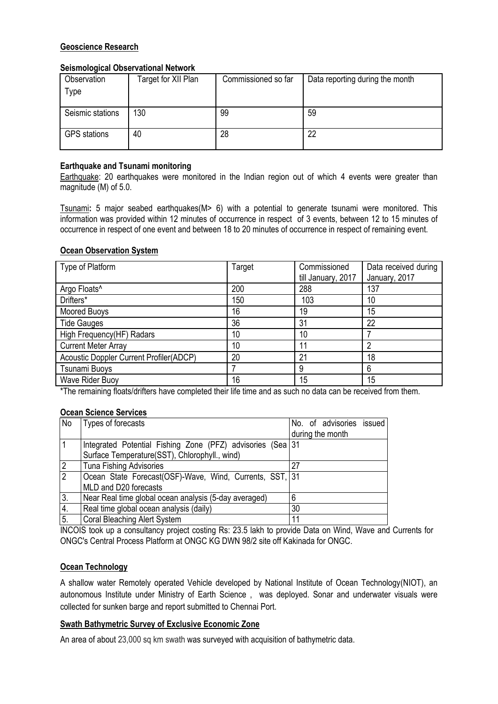# **Geoscience Research**

# **Seismological Observational Network**

| Observation         | Target for XII Plan | Commissioned so far | Data reporting during the month |
|---------------------|---------------------|---------------------|---------------------------------|
| Type                |                     |                     |                                 |
|                     |                     |                     |                                 |
| Seismic stations    | 130                 | 99                  | 59                              |
| <b>GPS</b> stations | 40                  | 28                  | 22                              |

# **Earthquake and Tsunami monitoring**

Earthquake: 20 earthquakes were monitored in the Indian region out of which 4 events were greater than magnitude (M) of 5.0.

Tsunami**:** 5 major seabed earthquakes(M> 6) with a potential to generate tsunami were monitored. This information was provided within 12 minutes of occurrence in respect of 3 events, between 12 to 15 minutes of occurrence in respect of one event and between 18 to 20 minutes of occurrence in respect of remaining event.

# **Ocean Observation System**

| Type of Platform                        | Target | Commissioned       | Data received during |
|-----------------------------------------|--------|--------------------|----------------------|
|                                         |        | till January, 2017 | January, 2017        |
| Argo Floats <sup>^</sup>                | 200    | 288                | 137                  |
| Drifters*                               | 150    | 103                | 10                   |
| Moored Buoys                            | 16     | 19                 | 15                   |
| <b>Tide Gauges</b>                      | 36     | 31                 | 22                   |
| High Frequency(HF) Radars               | 10     | 10                 |                      |
| <b>Current Meter Array</b>              | 10     | 11                 | 2                    |
| Acoustic Doppler Current Profiler(ADCP) | 20     | 21                 | 18                   |
| Tsunami Buoys                           |        | 9                  | 6                    |
| Wave Rider Buoy                         | 16     | 15                 | 15                   |

\*The remaining floats/drifters have completed their life time and as such no data can be received from them.

# **Ocean Science Services**

| No             | Types of forecasts                                         | No. of advisories issued |
|----------------|------------------------------------------------------------|--------------------------|
|                |                                                            | during the month         |
|                | Integrated Potential Fishing Zone (PFZ) advisories (Sea 31 |                          |
|                | Surface Temperature(SST), Chlorophyll., wind)              |                          |
| $\overline{2}$ | <b>Tuna Fishing Advisories</b>                             | 27                       |
| $\overline{2}$ | Ocean State Forecast(OSF)-Wave, Wind, Currents, SST, 31    |                          |
|                | MLD and D20 forecasts                                      |                          |
| 3.             | Near Real time global ocean analysis (5-day averaged)      | 6                        |
| 4.             | Real time global ocean analysis (daily)                    | 30                       |
| 5.             | <b>Coral Bleaching Alert System</b>                        | 11                       |

INCOIS took up a consultancy project costing Rs: 23.5 lakh to provide Data on Wind, Wave and Currents for ONGC's Central Process Platform at ONGC KG DWN 98/2 site off Kakinada for ONGC.

# **Ocean Technology**

A shallow water Remotely operated Vehicle developed by National Institute of Ocean Technology(NIOT), an autonomous Institute under Ministry of Earth Science , was deployed. Sonar and underwater visuals were collected for sunken barge and report submitted to Chennai Port.

# **Swath Bathymetric Survey of Exclusive Economic Zone**

An area of about 23,000 sq km swath was surveyed with acquisition of bathymetric data.